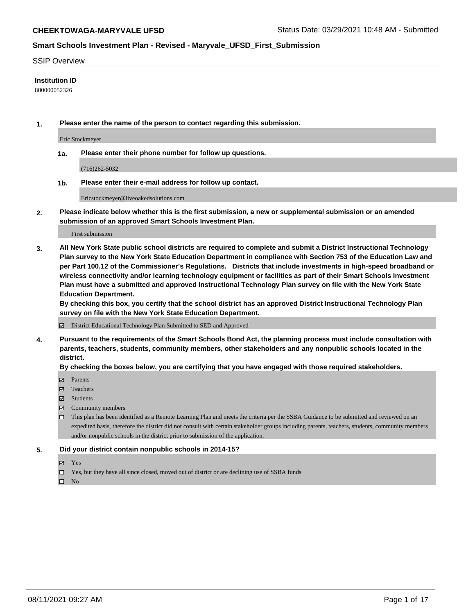#### SSIP Overview

#### **Institution ID**

800000052326

**1. Please enter the name of the person to contact regarding this submission.**

Eric Stockmeyer

**1a. Please enter their phone number for follow up questions.**

(716)262-5032

**1b. Please enter their e-mail address for follow up contact.**

Ericstockmeyer@liveoakedsolutions.com

**2. Please indicate below whether this is the first submission, a new or supplemental submission or an amended submission of an approved Smart Schools Investment Plan.**

#### First submission

**3. All New York State public school districts are required to complete and submit a District Instructional Technology Plan survey to the New York State Education Department in compliance with Section 753 of the Education Law and per Part 100.12 of the Commissioner's Regulations. Districts that include investments in high-speed broadband or wireless connectivity and/or learning technology equipment or facilities as part of their Smart Schools Investment Plan must have a submitted and approved Instructional Technology Plan survey on file with the New York State Education Department.** 

**By checking this box, you certify that the school district has an approved District Instructional Technology Plan survey on file with the New York State Education Department.**

District Educational Technology Plan Submitted to SED and Approved

**4. Pursuant to the requirements of the Smart Schools Bond Act, the planning process must include consultation with parents, teachers, students, community members, other stakeholders and any nonpublic schools located in the district.** 

#### **By checking the boxes below, you are certifying that you have engaged with those required stakeholders.**

- **Parents**
- Teachers
- Students
- $\boxtimes$  Community members
- This plan has been identified as a Remote Learning Plan and meets the criteria per the SSBA Guidance to be submitted and reviewed on an expedited basis, therefore the district did not consult with certain stakeholder groups including parents, teachers, students, community members and/or nonpublic schools in the district prior to submission of the application.
- **5. Did your district contain nonpublic schools in 2014-15?**
	- Yes
	- □ Yes, but they have all since closed, moved out of district or are declining use of SSBA funds

 $\Box$  No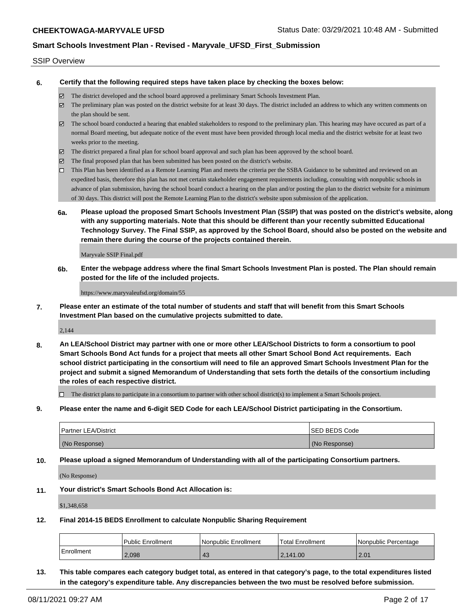#### SSIP Overview

**6. Certify that the following required steps have taken place by checking the boxes below:**

- The district developed and the school board approved a preliminary Smart Schools Investment Plan.
- The preliminary plan was posted on the district website for at least 30 days. The district included an address to which any written comments on the plan should be sent.
- $\boxtimes$  The school board conducted a hearing that enabled stakeholders to respond to the preliminary plan. This hearing may have occured as part of a normal Board meeting, but adequate notice of the event must have been provided through local media and the district website for at least two weeks prior to the meeting.
- The district prepared a final plan for school board approval and such plan has been approved by the school board.
- $\boxtimes$  The final proposed plan that has been submitted has been posted on the district's website.
- This Plan has been identified as a Remote Learning Plan and meets the criteria per the SSBA Guidance to be submitted and reviewed on an expedited basis, therefore this plan has not met certain stakeholder engagement requirements including, consulting with nonpublic schools in advance of plan submission, having the school board conduct a hearing on the plan and/or posting the plan to the district website for a minimum of 30 days. This district will post the Remote Learning Plan to the district's website upon submission of the application.
- **6a. Please upload the proposed Smart Schools Investment Plan (SSIP) that was posted on the district's website, along with any supporting materials. Note that this should be different than your recently submitted Educational Technology Survey. The Final SSIP, as approved by the School Board, should also be posted on the website and remain there during the course of the projects contained therein.**

Maryvale SSIP Final.pdf

**6b. Enter the webpage address where the final Smart Schools Investment Plan is posted. The Plan should remain posted for the life of the included projects.**

https://www.maryvaleufsd.org/domain/55

**7. Please enter an estimate of the total number of students and staff that will benefit from this Smart Schools Investment Plan based on the cumulative projects submitted to date.**

2,144

**8. An LEA/School District may partner with one or more other LEA/School Districts to form a consortium to pool Smart Schools Bond Act funds for a project that meets all other Smart School Bond Act requirements. Each school district participating in the consortium will need to file an approved Smart Schools Investment Plan for the project and submit a signed Memorandum of Understanding that sets forth the details of the consortium including the roles of each respective district.**

 $\Box$  The district plans to participate in a consortium to partner with other school district(s) to implement a Smart Schools project.

**9. Please enter the name and 6-digit SED Code for each LEA/School District participating in the Consortium.**

| <b>Partner LEA/District</b> | <b>ISED BEDS Code</b> |
|-----------------------------|-----------------------|
| (No Response)               | (No Response)         |

**10. Please upload a signed Memorandum of Understanding with all of the participating Consortium partners.**

(No Response)

**11. Your district's Smart Schools Bond Act Allocation is:**

\$1,348,658

**12. Final 2014-15 BEDS Enrollment to calculate Nonpublic Sharing Requirement**

|              | Public Enrollment | Nonpublic Enrollment | Total Enrollment | Nonpublic Percentage |
|--------------|-------------------|----------------------|------------------|----------------------|
| l Enrollment | 2.098             | 43                   | 2.141.00         | 2.01                 |

**13. This table compares each category budget total, as entered in that category's page, to the total expenditures listed in the category's expenditure table. Any discrepancies between the two must be resolved before submission.**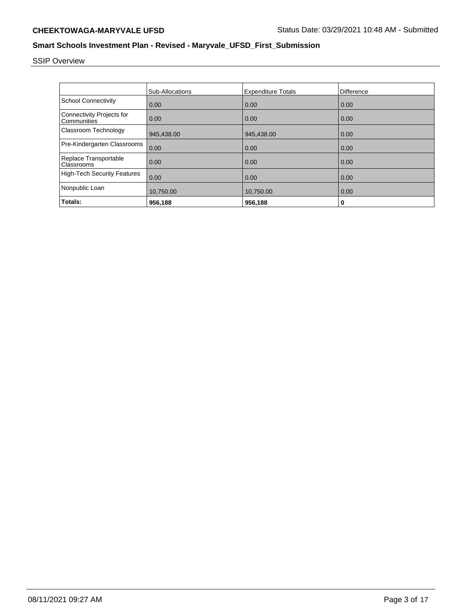# SSIP Overview

|                                          | Sub-Allocations | <b>Expenditure Totals</b> | Difference |
|------------------------------------------|-----------------|---------------------------|------------|
| <b>School Connectivity</b>               | 0.00            | 0.00                      | 0.00       |
| Connectivity Projects for<br>Communities | 0.00            | 0.00                      | 0.00       |
| Classroom Technology                     | 945,438.00      | 945,438.00                | 0.00       |
| Pre-Kindergarten Classrooms              | 0.00            | 0.00                      | 0.00       |
| Replace Transportable<br>Classrooms      | 0.00            | 0.00                      | 0.00       |
| <b>High-Tech Security Features</b>       | 0.00            | 0.00                      | 0.00       |
| Nonpublic Loan                           | 10,750.00       | 10,750.00                 | 0.00       |
| Totals:                                  | 956,188         | 956,188                   | 0          |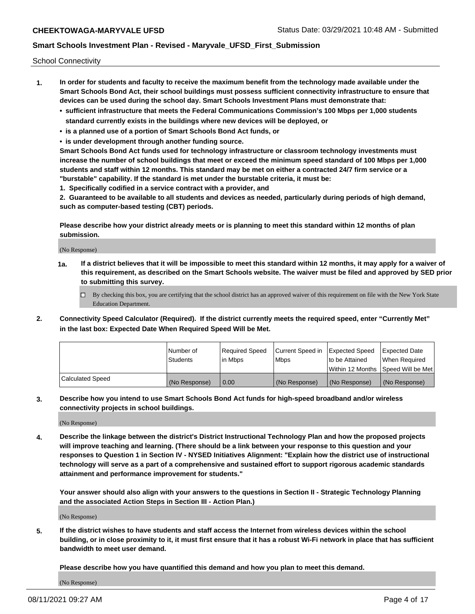School Connectivity

- **1. In order for students and faculty to receive the maximum benefit from the technology made available under the Smart Schools Bond Act, their school buildings must possess sufficient connectivity infrastructure to ensure that devices can be used during the school day. Smart Schools Investment Plans must demonstrate that:**
	- **• sufficient infrastructure that meets the Federal Communications Commission's 100 Mbps per 1,000 students standard currently exists in the buildings where new devices will be deployed, or**
	- **• is a planned use of a portion of Smart Schools Bond Act funds, or**
	- **• is under development through another funding source.**

**Smart Schools Bond Act funds used for technology infrastructure or classroom technology investments must increase the number of school buildings that meet or exceed the minimum speed standard of 100 Mbps per 1,000 students and staff within 12 months. This standard may be met on either a contracted 24/7 firm service or a "burstable" capability. If the standard is met under the burstable criteria, it must be:**

**1. Specifically codified in a service contract with a provider, and**

**2. Guaranteed to be available to all students and devices as needed, particularly during periods of high demand, such as computer-based testing (CBT) periods.**

**Please describe how your district already meets or is planning to meet this standard within 12 months of plan submission.**

(No Response)

**1a. If a district believes that it will be impossible to meet this standard within 12 months, it may apply for a waiver of this requirement, as described on the Smart Schools website. The waiver must be filed and approved by SED prior to submitting this survey.**

 $\Box$  By checking this box, you are certifying that the school district has an approved waiver of this requirement on file with the New York State Education Department.

**2. Connectivity Speed Calculator (Required). If the district currently meets the required speed, enter "Currently Met" in the last box: Expected Date When Required Speed Will be Met.**

|                  | l Number of     | Required Speed | Current Speed in | Expected Speed | Expected Date                           |
|------------------|-----------------|----------------|------------------|----------------|-----------------------------------------|
|                  | <b>Students</b> | In Mbps        | l Mbps           | to be Attained | When Required                           |
|                  |                 |                |                  |                | l Within 12 Months ISpeed Will be Met l |
| Calculated Speed | (No Response)   | 0.00           | (No Response)    | (No Response)  | (No Response)                           |

**3. Describe how you intend to use Smart Schools Bond Act funds for high-speed broadband and/or wireless connectivity projects in school buildings.**

(No Response)

**4. Describe the linkage between the district's District Instructional Technology Plan and how the proposed projects will improve teaching and learning. (There should be a link between your response to this question and your responses to Question 1 in Section IV - NYSED Initiatives Alignment: "Explain how the district use of instructional technology will serve as a part of a comprehensive and sustained effort to support rigorous academic standards attainment and performance improvement for students."** 

**Your answer should also align with your answers to the questions in Section II - Strategic Technology Planning and the associated Action Steps in Section III - Action Plan.)**

(No Response)

**5. If the district wishes to have students and staff access the Internet from wireless devices within the school building, or in close proximity to it, it must first ensure that it has a robust Wi-Fi network in place that has sufficient bandwidth to meet user demand.**

**Please describe how you have quantified this demand and how you plan to meet this demand.**

(No Response)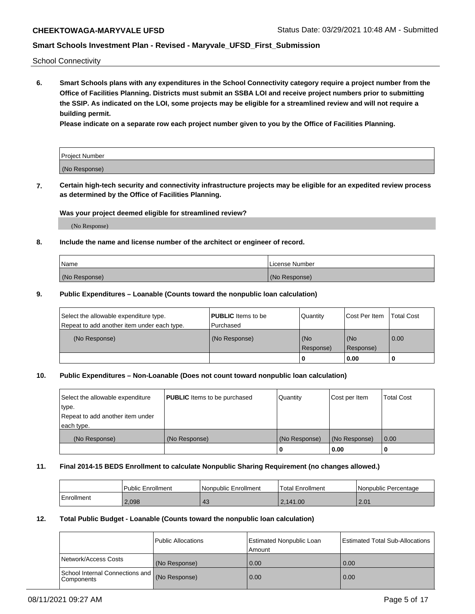School Connectivity

**6. Smart Schools plans with any expenditures in the School Connectivity category require a project number from the Office of Facilities Planning. Districts must submit an SSBA LOI and receive project numbers prior to submitting the SSIP. As indicated on the LOI, some projects may be eligible for a streamlined review and will not require a building permit.**

**Please indicate on a separate row each project number given to you by the Office of Facilities Planning.**

| Project Number |  |
|----------------|--|
| (No Response)  |  |

**7. Certain high-tech security and connectivity infrastructure projects may be eligible for an expedited review process as determined by the Office of Facilities Planning.**

#### **Was your project deemed eligible for streamlined review?**

(No Response)

#### **8. Include the name and license number of the architect or engineer of record.**

| Name          | License Number |
|---------------|----------------|
| (No Response) | (No Response)  |

#### **9. Public Expenditures – Loanable (Counts toward the nonpublic loan calculation)**

| Select the allowable expenditure type.<br>Repeat to add another item under each type. | <b>PUBLIC</b> Items to be<br>l Purchased | Quantity           | Cost Per Item    | <b>Total Cost</b> |
|---------------------------------------------------------------------------------------|------------------------------------------|--------------------|------------------|-------------------|
| (No Response)                                                                         | (No Response)                            | l (No<br>Response) | (No<br>Response) | $\overline{0.00}$ |
|                                                                                       |                                          | O                  | 0.00             |                   |

#### **10. Public Expenditures – Non-Loanable (Does not count toward nonpublic loan calculation)**

| Select the allowable expenditure | <b>PUBLIC</b> Items to be purchased | Quantity      | Cost per Item | <b>Total Cost</b> |
|----------------------------------|-------------------------------------|---------------|---------------|-------------------|
| type.                            |                                     |               |               |                   |
| Repeat to add another item under |                                     |               |               |                   |
| each type.                       |                                     |               |               |                   |
| (No Response)                    | (No Response)                       | (No Response) | (No Response) | 0.00              |
|                                  |                                     |               | 0.00          |                   |

#### **11. Final 2014-15 BEDS Enrollment to calculate Nonpublic Sharing Requirement (no changes allowed.)**

|            | Public Enrollment | l Nonpublic Enrollment | <b>Total Enrollment</b> | Nonpublic Percentage |
|------------|-------------------|------------------------|-------------------------|----------------------|
| Enrollment | 2.098             | 43                     | 2,141.00                | 2.01                 |

#### **12. Total Public Budget - Loanable (Counts toward the nonpublic loan calculation)**

|                                                 | Public Allocations | Estimated Nonpublic Loan<br>Amount | <b>Estimated Total Sub-Allocations</b> |
|-------------------------------------------------|--------------------|------------------------------------|----------------------------------------|
| Network/Access Costs                            | (No Response)      | 0.00                               | 0.00                                   |
| School Internal Connections and<br>l Components | (No Response)      | 0.00                               | 0.00                                   |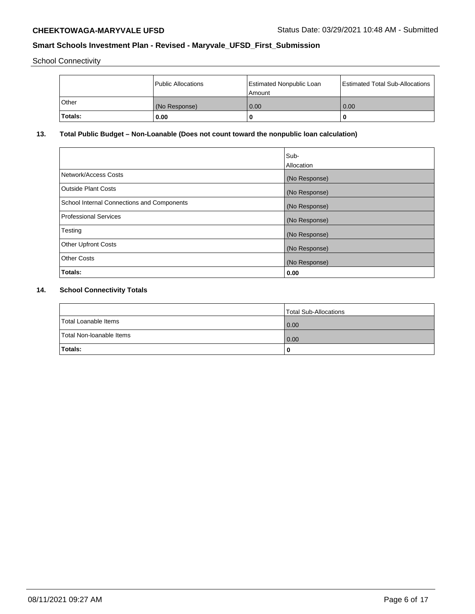School Connectivity

|              | <b>Public Allocations</b> | <b>Estimated Nonpublic Loan</b><br>l Amount | <b>Estimated Total Sub-Allocations</b> |
|--------------|---------------------------|---------------------------------------------|----------------------------------------|
| <b>Other</b> | (No Response)             | 0.00                                        | 0.00                                   |
| Totals:      | 0.00                      | 0                                           | ш                                      |

## **13. Total Public Budget – Non-Loanable (Does not count toward the nonpublic loan calculation)**

| Sub-<br>Allocation |
|--------------------|
| (No Response)      |
| (No Response)      |
| (No Response)      |
| (No Response)      |
| (No Response)      |
| (No Response)      |
| (No Response)      |
| 0.00               |
|                    |

## **14. School Connectivity Totals**

|                          | Total Sub-Allocations |
|--------------------------|-----------------------|
| Total Loanable Items     | 0.00                  |
| Total Non-Ioanable Items | 0.00                  |
| Totals:                  | 0                     |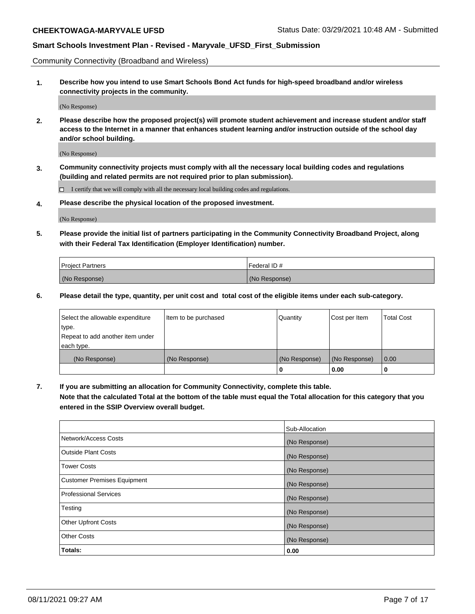Community Connectivity (Broadband and Wireless)

**1. Describe how you intend to use Smart Schools Bond Act funds for high-speed broadband and/or wireless connectivity projects in the community.**

(No Response)

**2. Please describe how the proposed project(s) will promote student achievement and increase student and/or staff access to the Internet in a manner that enhances student learning and/or instruction outside of the school day and/or school building.**

(No Response)

**3. Community connectivity projects must comply with all the necessary local building codes and regulations (building and related permits are not required prior to plan submission).**

 $\Box$  I certify that we will comply with all the necessary local building codes and regulations.

**4. Please describe the physical location of the proposed investment.**

(No Response)

**5. Please provide the initial list of partners participating in the Community Connectivity Broadband Project, along with their Federal Tax Identification (Employer Identification) number.**

| <b>Project Partners</b> | l Federal ID # |
|-------------------------|----------------|
| (No Response)           | (No Response)  |

**6. Please detail the type, quantity, per unit cost and total cost of the eligible items under each sub-category.**

| Select the allowable expenditure | Item to be purchased | Quantity      | Cost per Item | <b>Total Cost</b> |
|----------------------------------|----------------------|---------------|---------------|-------------------|
| type.                            |                      |               |               |                   |
| Repeat to add another item under |                      |               |               |                   |
| each type.                       |                      |               |               |                   |
| (No Response)                    | (No Response)        | (No Response) | (No Response) | 0.00              |
|                                  |                      | o             | 0.00          |                   |

**7. If you are submitting an allocation for Community Connectivity, complete this table.**

**Note that the calculated Total at the bottom of the table must equal the Total allocation for this category that you entered in the SSIP Overview overall budget.**

|                                    | Sub-Allocation |
|------------------------------------|----------------|
| Network/Access Costs               | (No Response)  |
| Outside Plant Costs                | (No Response)  |
| <b>Tower Costs</b>                 | (No Response)  |
| <b>Customer Premises Equipment</b> | (No Response)  |
| <b>Professional Services</b>       | (No Response)  |
| Testing                            | (No Response)  |
| <b>Other Upfront Costs</b>         | (No Response)  |
| <b>Other Costs</b>                 | (No Response)  |
| Totals:                            | 0.00           |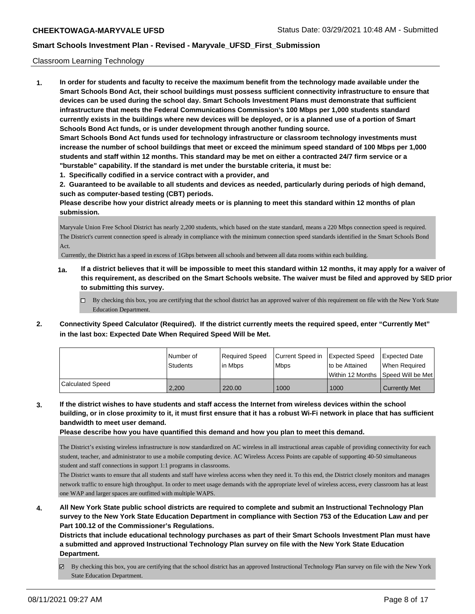#### Classroom Learning Technology

**1. In order for students and faculty to receive the maximum benefit from the technology made available under the Smart Schools Bond Act, their school buildings must possess sufficient connectivity infrastructure to ensure that devices can be used during the school day. Smart Schools Investment Plans must demonstrate that sufficient infrastructure that meets the Federal Communications Commission's 100 Mbps per 1,000 students standard currently exists in the buildings where new devices will be deployed, or is a planned use of a portion of Smart Schools Bond Act funds, or is under development through another funding source. Smart Schools Bond Act funds used for technology infrastructure or classroom technology investments must increase the number of school buildings that meet or exceed the minimum speed standard of 100 Mbps per 1,000 students and staff within 12 months. This standard may be met on either a contracted 24/7 firm service or a "burstable" capability. If the standard is met under the burstable criteria, it must be:**

**1. Specifically codified in a service contract with a provider, and**

**2. Guaranteed to be available to all students and devices as needed, particularly during periods of high demand, such as computer-based testing (CBT) periods.**

**Please describe how your district already meets or is planning to meet this standard within 12 months of plan submission.**

Maryvale Union Free School District has nearly 2,200 students, which based on the state standard, means a 220 Mbps connection speed is required. The District's current connection speed is already in compliance with the minimum connection speed standards identified in the Smart Schools Bond Act.

Currently, the District has a speed in excess of 1Gbps between all schools and between all data rooms within each building.

- **1a. If a district believes that it will be impossible to meet this standard within 12 months, it may apply for a waiver of this requirement, as described on the Smart Schools website. The waiver must be filed and approved by SED prior to submitting this survey.**
	- □ By checking this box, you are certifying that the school district has an approved waiver of this requirement on file with the New York State Education Department.
- **2. Connectivity Speed Calculator (Required). If the district currently meets the required speed, enter "Currently Met" in the last box: Expected Date When Required Speed Will be Met.**

|                  | l Number of | Required Speed | Current Speed in Expected Speed |                 | <b>Expected Date</b>                    |
|------------------|-------------|----------------|---------------------------------|-----------------|-----------------------------------------|
|                  | Students    | l in Mbps      | <b>Mbps</b>                     | Ito be Attained | When Required                           |
|                  |             |                |                                 |                 | l Within 12 Months ISpeed Will be Met l |
| Calculated Speed | 2,200       | 220.00         | 1000                            | 1000            | <b>Currently Met</b>                    |

**3. If the district wishes to have students and staff access the Internet from wireless devices within the school building, or in close proximity to it, it must first ensure that it has a robust Wi-Fi network in place that has sufficient bandwidth to meet user demand.**

**Please describe how you have quantified this demand and how you plan to meet this demand.**

The District's existing wireless infrastructure is now standardized on AC wireless in all instructional areas capable of providing connectivity for each student, teacher, and administrator to use a mobile computing device. AC Wireless Access Points are capable of supporting 40-50 simultaneous student and staff connections in support 1:1 programs in classrooms.

The District wants to ensure that all students and staff have wireless access when they need it. To this end, the District closely monitors and manages network traffic to ensure high throughput. In order to meet usage demands with the appropriate level of wireless access, every classroom has at least one WAP and larger spaces are outfitted with multiple WAPS.

**4. All New York State public school districts are required to complete and submit an Instructional Technology Plan survey to the New York State Education Department in compliance with Section 753 of the Education Law and per Part 100.12 of the Commissioner's Regulations.**

**Districts that include educational technology purchases as part of their Smart Schools Investment Plan must have a submitted and approved Instructional Technology Plan survey on file with the New York State Education Department.**

By checking this box, you are certifying that the school district has an approved Instructional Technology Plan survey on file with the New York State Education Department.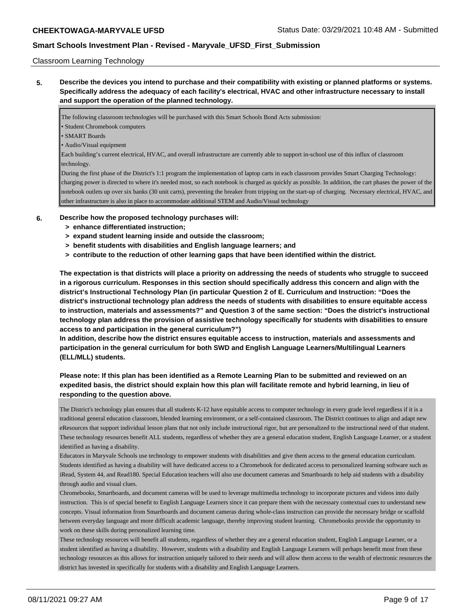#### Classroom Learning Technology

**5. Describe the devices you intend to purchase and their compatibility with existing or planned platforms or systems. Specifically address the adequacy of each facility's electrical, HVAC and other infrastructure necessary to install and support the operation of the planned technology.**

The following classroom technologies will be purchased with this Smart Schools Bond Acts submission:

• Student Chromebook computers

• SMART Boards

• Audio/Visual equipment

Each building's current electrical, HVAC, and overall infrastructure are currently able to support in-school use of this influx of classroom technology.

During the first phase of the District's 1:1 program the implementation of laptop carts in each classroom provides Smart Charging Technology: charging power is directed to where it's needed most, so each notebook is charged as quickly as possible. In addition, the cart phases the power of the notebook outlets up over six banks (30 unit carts), preventing the breaker from tripping on the start-up of charging. Necessary electrical, HVAC, and other infrastructure is also in place to accommodate additional STEM and Audio/Visual technology

- **6. Describe how the proposed technology purchases will:**
	- **> enhance differentiated instruction;**
	- **> expand student learning inside and outside the classroom;**
	- **> benefit students with disabilities and English language learners; and**
	- **> contribute to the reduction of other learning gaps that have been identified within the district.**

**The expectation is that districts will place a priority on addressing the needs of students who struggle to succeed in a rigorous curriculum. Responses in this section should specifically address this concern and align with the district's Instructional Technology Plan (in particular Question 2 of E. Curriculum and Instruction: "Does the district's instructional technology plan address the needs of students with disabilities to ensure equitable access to instruction, materials and assessments?" and Question 3 of the same section: "Does the district's instructional technology plan address the provision of assistive technology specifically for students with disabilities to ensure access to and participation in the general curriculum?")**

**In addition, describe how the district ensures equitable access to instruction, materials and assessments and participation in the general curriculum for both SWD and English Language Learners/Multilingual Learners (ELL/MLL) students.**

## **Please note: If this plan has been identified as a Remote Learning Plan to be submitted and reviewed on an expedited basis, the district should explain how this plan will facilitate remote and hybrid learning, in lieu of responding to the question above.**

The District's technology plan ensures that all students K-12 have equitable access to computer technology in every grade level regardless if it is a traditional general education classroom, blended learning environment, or a self-contained classroom. The District continues to align and adapt new eResources that support individual lesson plans that not only include instructional rigor, but are personalized to the instructional need of that student. These technology resources benefit ALL students, regardless of whether they are a general education student, English Language Learner, or a student identified as having a disability.

Educators in Maryvale Schools use technology to empower students with disabilities and give them access to the general education curriculum. Students identified as having a disability will have dedicated access to a Chromebook for dedicated access to personalized learning software such as iRead, System 44, and Read180. Special Education teachers will also use document cameras and Smartboards to help aid students with a disability through audio and visual clues.

Chromebooks, Smartboards, and document cameras will be used to leverage multimedia technology to incorporate pictures and videos into daily instruction. This is of special benefit to English Language Learners since it can prepare them with the necessary contextual cues to understand new concepts. Visual information from Smartboards and document cameras during whole-class instruction can provide the necessary bridge or scaffold between everyday language and more difficult academic language, thereby improving student learning. Chromebooks provide the opportunity to work on these skills during personalized learning time.

These technology resources will benefit all students, regardless of whether they are a general education student, English Language Learner, or a student identified as having a disability. However, students with a disability and English Language Learners will perhaps benefit most from these technology resources as this allows for instruction uniquely tailored to their needs and will allow them access to the wealth of electronic resources the district has invested in specifically for students with a disability and English Language Learners.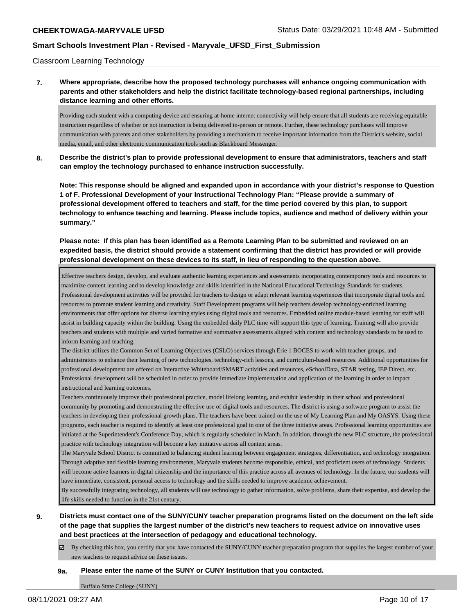Classroom Learning Technology

## **7. Where appropriate, describe how the proposed technology purchases will enhance ongoing communication with parents and other stakeholders and help the district facilitate technology-based regional partnerships, including distance learning and other efforts.**

Providing each student with a computing device and ensuring at-home internet connectivity will help ensure that all students are receiving equitable instruction regardless of whether or not instruction is being delivered in-person or remote. Further, these technology purchases will improve communication with parents and other stakeholders by providing a mechanism to receive important information from the District's website, social media, email, and other electronic communication tools such as Blackboard Messenger.

**8. Describe the district's plan to provide professional development to ensure that administrators, teachers and staff can employ the technology purchased to enhance instruction successfully.**

**Note: This response should be aligned and expanded upon in accordance with your district's response to Question 1 of F. Professional Development of your Instructional Technology Plan: "Please provide a summary of professional development offered to teachers and staff, for the time period covered by this plan, to support technology to enhance teaching and learning. Please include topics, audience and method of delivery within your summary."**

**Please note: If this plan has been identified as a Remote Learning Plan to be submitted and reviewed on an expedited basis, the district should provide a statement confirming that the district has provided or will provide professional development on these devices to its staff, in lieu of responding to the question above.**

Effective teachers design, develop, and evaluate authentic learning experiences and assessments incorporating contemporary tools and resources to maximize content learning and to develop knowledge and skills identified in the National Educational Technology Standards for students. Professional development activities will be provided for teachers to design or adapt relevant learning experiences that incorporate digital tools and resources to promote student learning and creativity. Staff Development programs will help teachers develop technology-enriched learning environments that offer options for diverse learning styles using digital tools and resources. Embedded online module-based learning for staff will assist in building capacity within the building. Using the embedded daily PLC time will support this type of learning. Training will also provide teachers and students with multiple and varied formative and summative assessments aligned with content and technology standards to be used to inform learning and teaching.

The district utilizes the Common Set of Learning Objectives (CSLO) services through Erie 1 BOCES to work with teacher groups, and administrators to enhance their learning of new technologies, technology-rich lessons, and curriculum-based resources. Additional opportunities for professional development are offered on Interactive Whiteboard/SMART activities and resources, eSchoolData, STAR testing, IEP Direct, etc. Professional development will be scheduled in order to provide immediate implementation and application of the learning in order to impact instructional and learning outcomes.

Teachers continuously improve their professional practice, model lifelong learning, and exhibit leadership in their school and professional community by promoting and demonstrating the effective use of digital tools and resources. The district is using a software program to assist the teachers in developing their professional growth plans. The teachers have been trained on the use of My Learning Plan and My OASYS. Using these programs, each teacher is required to identify at least one professional goal in one of the three initiative areas. Professional learning opportunities are initiated at the Superintendent's Conference Day, which is regularly scheduled in March. In addition, through the new PLC structure, the professional practice with technology integration will become a key initiative across all content areas.

The Maryvale School District is committed to balancing student learning between engagement strategies, differentiation, and technology integration. Through adaptive and flexible learning environments, Maryvale students become responsible, ethical, and proficient users of technology. Students will become active learners in digital citizenship and the importance of this practice across all avenues of technology. In the future, our students will have immediate, consistent, personal access to technology and the skills needed to improve academic achievement.

By successfully integrating technology, all students will use technology to gather information, solve problems, share their expertise, and develop the life skills needed to function in the 21st century.

- **9. Districts must contact one of the SUNY/CUNY teacher preparation programs listed on the document on the left side of the page that supplies the largest number of the district's new teachers to request advice on innovative uses and best practices at the intersection of pedagogy and educational technology.**
	- By checking this box, you certify that you have contacted the SUNY/CUNY teacher preparation program that supplies the largest number of your new teachers to request advice on these issues.

#### **9a. Please enter the name of the SUNY or CUNY Institution that you contacted.**

Buffalo State College (SUNY)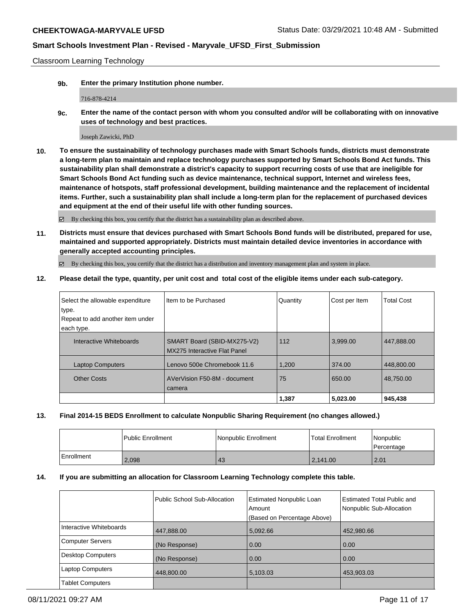Classroom Learning Technology

**9b. Enter the primary Institution phone number.**

716-878-4214

**9c. Enter the name of the contact person with whom you consulted and/or will be collaborating with on innovative uses of technology and best practices.**

Joseph Zawicki, PhD

**10. To ensure the sustainability of technology purchases made with Smart Schools funds, districts must demonstrate a long-term plan to maintain and replace technology purchases supported by Smart Schools Bond Act funds. This sustainability plan shall demonstrate a district's capacity to support recurring costs of use that are ineligible for Smart Schools Bond Act funding such as device maintenance, technical support, Internet and wireless fees, maintenance of hotspots, staff professional development, building maintenance and the replacement of incidental items. Further, such a sustainability plan shall include a long-term plan for the replacement of purchased devices and equipment at the end of their useful life with other funding sources.**

 $\boxtimes$  By checking this box, you certify that the district has a sustainability plan as described above.

**11. Districts must ensure that devices purchased with Smart Schools Bond funds will be distributed, prepared for use, maintained and supported appropriately. Districts must maintain detailed device inventories in accordance with generally accepted accounting principles.**

By checking this box, you certify that the district has a distribution and inventory management plan and system in place.

**12. Please detail the type, quantity, per unit cost and total cost of the eligible items under each sub-category.**

|                                  |                                     | 1,387    | 5,023.00      | 945,438           |
|----------------------------------|-------------------------------------|----------|---------------|-------------------|
|                                  | camera                              |          |               |                   |
| <b>Other Costs</b>               | AVerVision F50-8M - document        | 75       | 650.00        | 48.750.00         |
| <b>Laptop Computers</b>          | Lenovo 500e Chromebook 11.6         | 1,200    | 374.00        | 448,800.00        |
|                                  | <b>MX275 Interactive Flat Panel</b> |          |               |                   |
| Interactive Whiteboards          | SMART Board (SBID-MX275-V2)         | 112      | 3.999.00      | 447,888.00        |
| each type.                       |                                     |          |               |                   |
| Repeat to add another item under |                                     |          |               |                   |
| type.                            |                                     |          |               |                   |
| Select the allowable expenditure | Item to be Purchased                | Quantity | Cost per Item | <b>Total Cost</b> |

#### **13. Final 2014-15 BEDS Enrollment to calculate Nonpublic Sharing Requirement (no changes allowed.)**

|            | <b>Public Enrollment</b> | Nonpublic Enrollment | <b>Total Enrollment</b> | Nonpublic<br>Percentage |
|------------|--------------------------|----------------------|-------------------------|-------------------------|
| Enrollment | 2,098                    | 43                   | 2.141.00                | 2.01                    |

#### **14. If you are submitting an allocation for Classroom Learning Technology complete this table.**

|                         | Public School Sub-Allocation | <b>Estimated Nonpublic Loan</b><br>Amount<br>(Based on Percentage Above) | <b>Estimated Total Public and</b><br>Nonpublic Sub-Allocation |
|-------------------------|------------------------------|--------------------------------------------------------------------------|---------------------------------------------------------------|
| Interactive Whiteboards | 447,888.00                   | 5,092.66                                                                 | 452,980.66                                                    |
| Computer Servers        | (No Response)                | 0.00                                                                     | 0.00                                                          |
| Desktop Computers       | (No Response)                | 0.00                                                                     | 0.00                                                          |
| Laptop Computers        | 448,800.00                   | 5,103.03                                                                 | 453,903.03                                                    |
| <b>Tablet Computers</b> |                              |                                                                          |                                                               |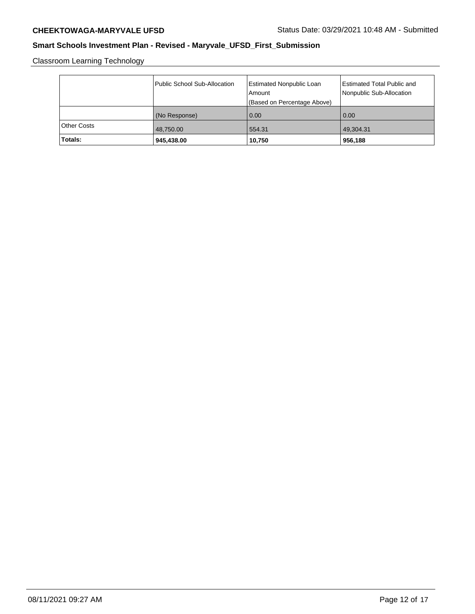Classroom Learning Technology

| Totals:     | 945,438.00                   | 10,750                                    | 956,188                                                |
|-------------|------------------------------|-------------------------------------------|--------------------------------------------------------|
| Other Costs | 48,750.00                    | 554.31                                    | 49,304.31                                              |
|             | (No Response)                | 0.00                                      | 0.00                                                   |
|             |                              | (Based on Percentage Above)               |                                                        |
|             | Public School Sub-Allocation | <b>Estimated Nonpublic Loan</b><br>Amount | Estimated Total Public and<br>Nonpublic Sub-Allocation |
|             |                              |                                           |                                                        |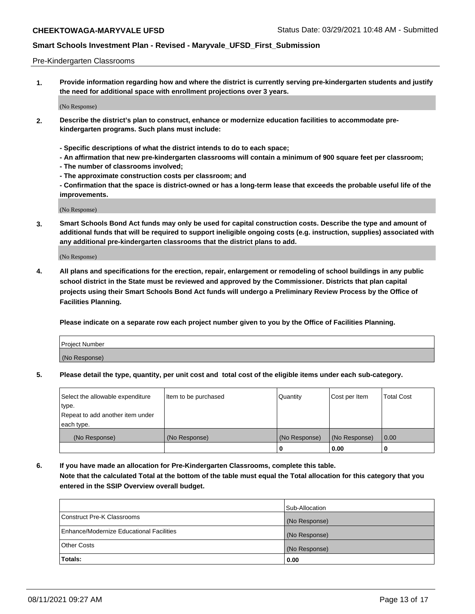#### Pre-Kindergarten Classrooms

**1. Provide information regarding how and where the district is currently serving pre-kindergarten students and justify the need for additional space with enrollment projections over 3 years.**

(No Response)

- **2. Describe the district's plan to construct, enhance or modernize education facilities to accommodate prekindergarten programs. Such plans must include:**
	- **Specific descriptions of what the district intends to do to each space;**
	- **An affirmation that new pre-kindergarten classrooms will contain a minimum of 900 square feet per classroom;**
	- **The number of classrooms involved;**
	- **The approximate construction costs per classroom; and**
	- **Confirmation that the space is district-owned or has a long-term lease that exceeds the probable useful life of the improvements.**

(No Response)

**3. Smart Schools Bond Act funds may only be used for capital construction costs. Describe the type and amount of additional funds that will be required to support ineligible ongoing costs (e.g. instruction, supplies) associated with any additional pre-kindergarten classrooms that the district plans to add.**

(No Response)

**4. All plans and specifications for the erection, repair, enlargement or remodeling of school buildings in any public school district in the State must be reviewed and approved by the Commissioner. Districts that plan capital projects using their Smart Schools Bond Act funds will undergo a Preliminary Review Process by the Office of Facilities Planning.**

**Please indicate on a separate row each project number given to you by the Office of Facilities Planning.**

| Project Number |  |
|----------------|--|
| (No Response)  |  |
|                |  |

**5. Please detail the type, quantity, per unit cost and total cost of the eligible items under each sub-category.**

| Select the allowable expenditure | Item to be purchased | Quantity      | Cost per Item | <b>Total Cost</b> |
|----------------------------------|----------------------|---------------|---------------|-------------------|
| type.                            |                      |               |               |                   |
| Repeat to add another item under |                      |               |               |                   |
| each type.                       |                      |               |               |                   |
| (No Response)                    | (No Response)        | (No Response) | (No Response) | 0.00              |
|                                  |                      | o             | 0.00          | u                 |

**6. If you have made an allocation for Pre-Kindergarten Classrooms, complete this table. Note that the calculated Total at the bottom of the table must equal the Total allocation for this category that you entered in the SSIP Overview overall budget.**

| Totals:                                  | 0.00           |
|------------------------------------------|----------------|
| <b>Other Costs</b>                       | (No Response)  |
| Enhance/Modernize Educational Facilities | (No Response)  |
| Construct Pre-K Classrooms               | (No Response)  |
|                                          | Sub-Allocation |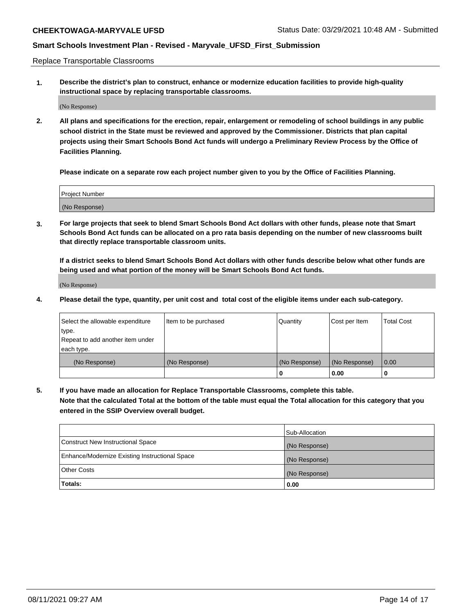Replace Transportable Classrooms

**1. Describe the district's plan to construct, enhance or modernize education facilities to provide high-quality instructional space by replacing transportable classrooms.**

(No Response)

**2. All plans and specifications for the erection, repair, enlargement or remodeling of school buildings in any public school district in the State must be reviewed and approved by the Commissioner. Districts that plan capital projects using their Smart Schools Bond Act funds will undergo a Preliminary Review Process by the Office of Facilities Planning.**

**Please indicate on a separate row each project number given to you by the Office of Facilities Planning.**

| Project Number |  |
|----------------|--|
|                |  |
| (No Response)  |  |

**3. For large projects that seek to blend Smart Schools Bond Act dollars with other funds, please note that Smart Schools Bond Act funds can be allocated on a pro rata basis depending on the number of new classrooms built that directly replace transportable classroom units.**

**If a district seeks to blend Smart Schools Bond Act dollars with other funds describe below what other funds are being used and what portion of the money will be Smart Schools Bond Act funds.**

(No Response)

**4. Please detail the type, quantity, per unit cost and total cost of the eligible items under each sub-category.**

| Select the allowable expenditure | Item to be purchased | Quantity      | Cost per Item | Total Cost |
|----------------------------------|----------------------|---------------|---------------|------------|
| ∣type.                           |                      |               |               |            |
| Repeat to add another item under |                      |               |               |            |
| each type.                       |                      |               |               |            |
| (No Response)                    | (No Response)        | (No Response) | (No Response) | 0.00       |
|                                  |                      | u             | 0.00          |            |

**5. If you have made an allocation for Replace Transportable Classrooms, complete this table. Note that the calculated Total at the bottom of the table must equal the Total allocation for this category that you entered in the SSIP Overview overall budget.**

|                                                | Sub-Allocation |
|------------------------------------------------|----------------|
| Construct New Instructional Space              | (No Response)  |
| Enhance/Modernize Existing Instructional Space | (No Response)  |
| Other Costs                                    | (No Response)  |
| Totals:                                        | 0.00           |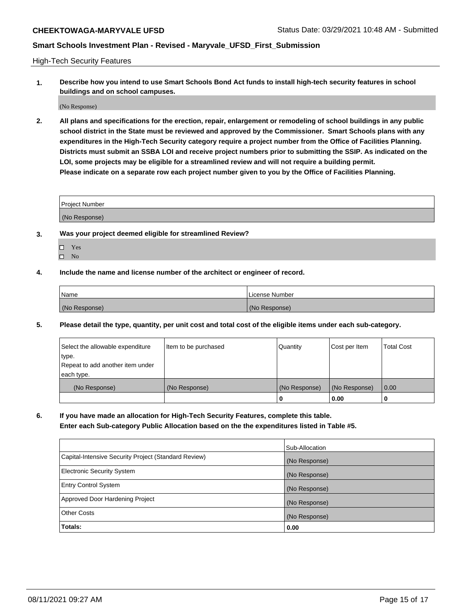High-Tech Security Features

**1. Describe how you intend to use Smart Schools Bond Act funds to install high-tech security features in school buildings and on school campuses.**

(No Response)

**2. All plans and specifications for the erection, repair, enlargement or remodeling of school buildings in any public school district in the State must be reviewed and approved by the Commissioner. Smart Schools plans with any expenditures in the High-Tech Security category require a project number from the Office of Facilities Planning. Districts must submit an SSBA LOI and receive project numbers prior to submitting the SSIP. As indicated on the LOI, some projects may be eligible for a streamlined review and will not require a building permit. Please indicate on a separate row each project number given to you by the Office of Facilities Planning.**

| <b>Project Number</b> |  |
|-----------------------|--|
| (No Response)         |  |

- **3. Was your project deemed eligible for streamlined Review?**
	- Yes
	- $\hfill \square$  No
- **4. Include the name and license number of the architect or engineer of record.**

| Name          | License Number |
|---------------|----------------|
| (No Response) | (No Response)  |

**5. Please detail the type, quantity, per unit cost and total cost of the eligible items under each sub-category.**

| Select the allowable expenditure | Item to be purchased | Quantity      | Cost per Item | <b>Total Cost</b> |
|----------------------------------|----------------------|---------------|---------------|-------------------|
| 'type.                           |                      |               |               |                   |
| Repeat to add another item under |                      |               |               |                   |
| each type.                       |                      |               |               |                   |
| (No Response)                    | (No Response)        | (No Response) | (No Response) | 0.00              |
|                                  |                      | U             | 0.00          |                   |

**6. If you have made an allocation for High-Tech Security Features, complete this table.**

**Enter each Sub-category Public Allocation based on the the expenditures listed in Table #5.**

|                                                      | Sub-Allocation |
|------------------------------------------------------|----------------|
| Capital-Intensive Security Project (Standard Review) | (No Response)  |
| <b>Electronic Security System</b>                    | (No Response)  |
| <b>Entry Control System</b>                          | (No Response)  |
| Approved Door Hardening Project                      | (No Response)  |
| <b>Other Costs</b>                                   | (No Response)  |
| Totals:                                              | 0.00           |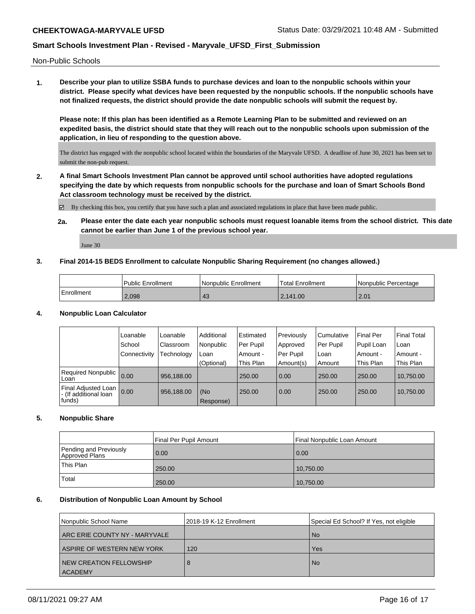Non-Public Schools

**1. Describe your plan to utilize SSBA funds to purchase devices and loan to the nonpublic schools within your district. Please specify what devices have been requested by the nonpublic schools. If the nonpublic schools have not finalized requests, the district should provide the date nonpublic schools will submit the request by.**

**Please note: If this plan has been identified as a Remote Learning Plan to be submitted and reviewed on an expedited basis, the district should state that they will reach out to the nonpublic schools upon submission of the application, in lieu of responding to the question above.**

The district has engaged with the nonpublic school located within the boundaries of the Maryvale UFSD. A deadline of June 30, 2021 has been set to submit the non-pub request.

**2. A final Smart Schools Investment Plan cannot be approved until school authorities have adopted regulations specifying the date by which requests from nonpublic schools for the purchase and loan of Smart Schools Bond Act classroom technology must be received by the district.**

By checking this box, you certify that you have such a plan and associated regulations in place that have been made public.

**2a. Please enter the date each year nonpublic schools must request loanable items from the school district. This date cannot be earlier than June 1 of the previous school year.**

June 30

#### **3. Final 2014-15 BEDS Enrollment to calculate Nonpublic Sharing Requirement (no changes allowed.)**

|            | <b>Public Enrollment</b> | l Nonpublic Enrollment | <b>Total Enrollment</b> | l Nonpublic Percentage |
|------------|--------------------------|------------------------|-------------------------|------------------------|
| Enrollment | 2,098                    | 43                     | 2.141.00                | 2.01                   |

#### **4. Nonpublic Loan Calculator**

|                                                        | Loanable       | Loanable   | Additional       | Estimated | Previously | l Cumulative | Final Per  | <b>Final Total</b> |
|--------------------------------------------------------|----------------|------------|------------------|-----------|------------|--------------|------------|--------------------|
|                                                        | School         | Classroom  | Nonpublic        | Per Pupil | Approved   | Per Pupil    | Pupil Loan | l Loan             |
|                                                        | l Connectivitv | Technology | Loan             | Amount -  | Per Pupil  | Loan         | Amount -   | l Amount -         |
|                                                        |                |            | (Optional)       | This Plan | Amount(s)  | Amount       | This Plan  | This Plan          |
| Required Nonpublic<br>Loan                             | 0.00           | 956.188.00 |                  | 250.00    | 0.00       | 250.00       | 250.00     | 10,750.00          |
| Final Adjusted Loan<br>- (If additional loan<br>funds) | 0.00           | 956,188.00 | (No<br>Response) | 250.00    | 0.00       | 250.00       | 250.00     | 10,750.00          |

## **5. Nonpublic Share**

|                                          | Final Per Pupil Amount | Final Nonpublic Loan Amount |
|------------------------------------------|------------------------|-----------------------------|
| Pending and Previously<br>Approved Plans | 0.00                   | 0.00                        |
| This Plan                                | 250.00                 | 10,750.00                   |
| Total                                    | 250.00                 | 10,750.00                   |

#### **6. Distribution of Nonpublic Loan Amount by School**

| Nonpublic School Name             | 2018-19 K-12 Enrollment | Special Ed School? If Yes, not eligible |
|-----------------------------------|-------------------------|-----------------------------------------|
| I ARC ERIE COUNTY NY - MARYVALE I |                         | <b>No</b>                               |
| ASPIRE OF WESTERN NEW YORK        | 120                     | Yes                                     |
| NEW CREATION FELLOWSHIP           | 8                       | <b>No</b>                               |
| <b>ACADEMY</b>                    |                         |                                         |